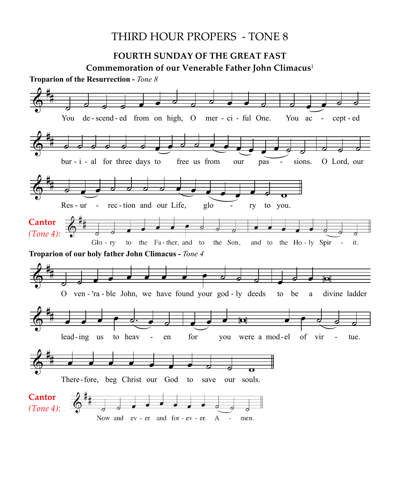## THIRD HOUR PROPERS - TONE 8

## **FOURTH SUNDAY OF THE GREAT FAST FOUKIH SUNDAY OF THE GREAT FAST**

**COMMISSIME OF THE CREAT TIPS**